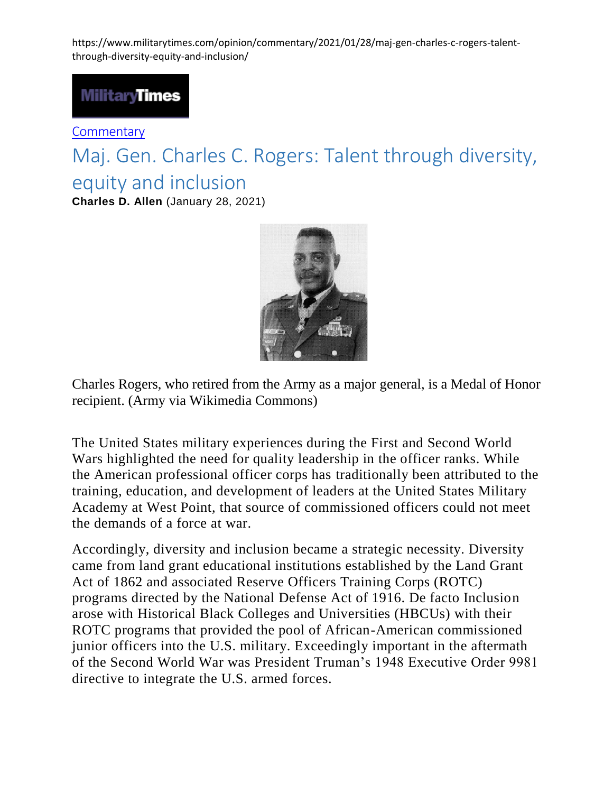https://www.militarytimes.com/opinion/commentary/2021/01/28/maj-gen-charles-c-rogers-talentthrough-diversity-equity-and-inclusion/

## **MilitaryTimes**

**[Commentary](https://www.militarytimes.com/opinion/commentary/)** 

## Maj. Gen. Charles C. Rogers: Talent through diversity, equity and inclusion

**Charles D. Allen** (January 28, 2021)



Charles Rogers, who retired from the Army as a major general, is a Medal of Honor recipient. (Army via Wikimedia Commons)

The United States military experiences during the First and Second World Wars highlighted the need for quality leadership in the officer ranks. While the American professional officer corps has traditionally been attributed to the training, education, and development of leaders at the United States Military Academy at West Point, that source of commissioned officers could not meet the demands of a force at war.

Accordingly, diversity and inclusion became a strategic necessity. Diversity came from land grant educational institutions established by the Land Grant Act of 1862 and associated Reserve Officers Training Corps (ROTC) programs directed by the National Defense Act of 1916. De facto Inclusion arose with Historical Black Colleges and Universities (HBCUs) with their ROTC programs that provided the pool of African-American commissioned junior officers into the U.S. military. Exceedingly important in the aftermath of the Second World War was President Truman's 1948 Executive Order 9981 directive to integrate the U.S. armed forces.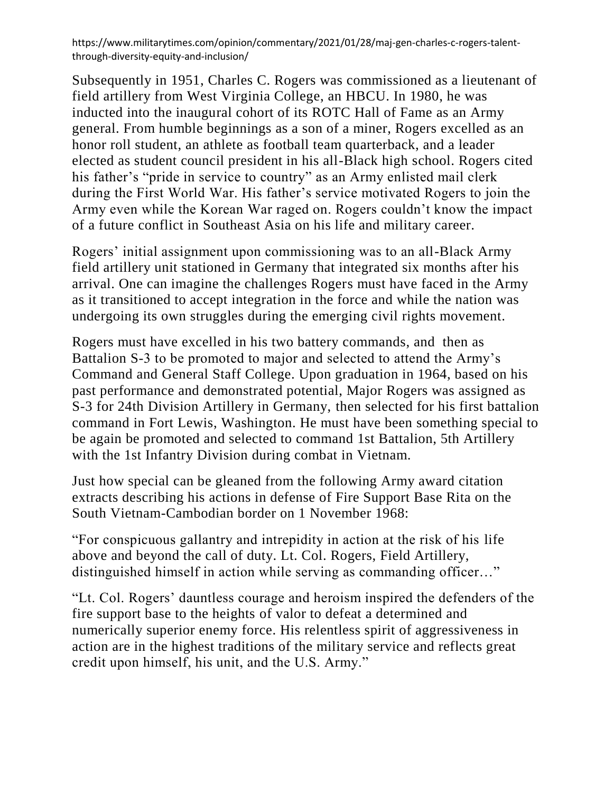https://www.militarytimes.com/opinion/commentary/2021/01/28/maj-gen-charles-c-rogers-talentthrough-diversity-equity-and-inclusion/

Subsequently in 1951, Charles C. Rogers was commissioned as a lieutenant of field artillery from West Virginia College, an HBCU. In 1980, he was inducted into the inaugural cohort of its ROTC Hall of Fame as an Army general. From humble beginnings as a son of a miner, Rogers excelled as an honor roll student, an athlete as football team quarterback, and a leader elected as student council president in his all-Black high school. Rogers cited his father's "pride in service to country" as an Army enlisted mail clerk during the First World War. His father's service motivated Rogers to join the Army even while the Korean War raged on. Rogers couldn't know the impact of a future conflict in Southeast Asia on his life and military career.

Rogers' initial assignment upon commissioning was to an all-Black Army field artillery unit stationed in Germany that integrated six months after his arrival. One can imagine the challenges Rogers must have faced in the Army as it transitioned to accept integration in the force and while the nation was undergoing its own struggles during the emerging civil rights movement.

Rogers must have excelled in his two battery commands, and then as Battalion S-3 to be promoted to major and selected to attend the Army's Command and General Staff College. Upon graduation in 1964, based on his past performance and demonstrated potential, Major Rogers was assigned as S-3 for 24th Division Artillery in Germany, then selected for his first battalion command in Fort Lewis, Washington. He must have been something special to be again be promoted and selected to command 1st Battalion, 5th Artillery with the 1st Infantry Division during combat in Vietnam.

Just how special can be gleaned from the following Army award citation extracts describing his actions in defense of Fire Support Base Rita on the South Vietnam-Cambodian border on 1 November 1968:

"For conspicuous gallantry and intrepidity in action at the risk of his life above and beyond the call of duty. Lt. Col. Rogers, Field Artillery, distinguished himself in action while serving as commanding officer…"

"Lt. Col. Rogers' dauntless courage and heroism inspired the defenders of the fire support base to the heights of valor to defeat a determined and numerically superior enemy force. His relentless spirit of aggressiveness in action are in the highest traditions of the military service and reflects great credit upon himself, his unit, and the U.S. Army."